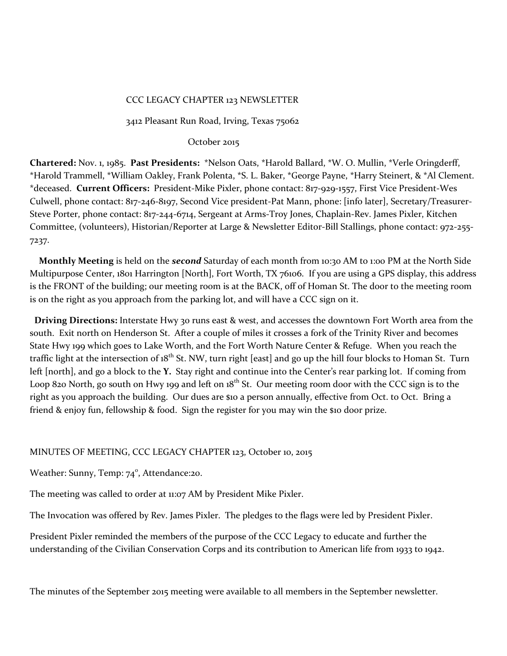## CCC LEGACY CHAPTER 123 NEWSLETTER

3412 Pleasant Run Road, Irving, Texas 75062

### October 2015

**Chartered:** Nov. 1, 1985. **Past Presidents:** \*Nelson Oats, \*Harold Ballard, \*W. O. Mullin, \*Verle Oringderff, \*Harold Trammell, \*William Oakley, Frank Polenta, \*S. L. Baker, \*George Payne, \*Harry Steinert, & \*Al Clement. \*deceased. **Current Officers:** President-Mike Pixler, phone contact: 817-929-1557, First Vice President-Wes Culwell, phone contact: 817-246-8197, Second Vice president-Pat Mann, phone: [info later], Secretary/Treasurer-Steve Porter, phone contact: 817-244-6714, Sergeant at Arms-Troy Jones, Chaplain-Rev. James Pixler, Kitchen Committee, (volunteers), Historian/Reporter at Large & Newsletter Editor-Bill Stallings, phone contact: 972-255- 7237.

 **Monthly Meeting** is held on the *second* Saturday of each month from 10:30 AM to 1:00 PM at the North Side Multipurpose Center, 1801 Harrington [North], Fort Worth, TX 76106. If you are using a GPS display, this address is the FRONT of the building; our meeting room is at the BACK, off of Homan St. The door to the meeting room is on the right as you approach from the parking lot, and will have a CCC sign on it.

 **Driving Directions:** Interstate Hwy 30 runs east & west, and accesses the downtown Fort Worth area from the south. Exit north on Henderson St. After a couple of miles it crosses a fork of the Trinity River and becomes State Hwy 199 which goes to Lake Worth, and the Fort Worth Nature Center & Refuge. When you reach the traffic light at the intersection of 18<sup>th</sup> St. NW, turn right [east] and go up the hill four blocks to Homan St. Turn left [north], and go a block to the **Y.** Stay right and continue into the Center's rear parking lot. If coming from Loop 820 North, go south on Hwy 199 and left on  $18^{th}$  St. Our meeting room door with the CCC sign is to the right as you approach the building. Our dues are \$10 a person annually, effective from Oct. to Oct. Bring a friend & enjoy fun, fellowship & food. Sign the register for you may win the \$10 door prize.

## MINUTES OF MEETING, CCC LEGACY CHAPTER 123, October 10, 2015

Weather: Sunny, Temp: 74°, Attendance:20.

The meeting was called to order at 11:07 AM by President Mike Pixler.

The Invocation was offered by Rev. James Pixler. The pledges to the flags were led by President Pixler.

President Pixler reminded the members of the purpose of the CCC Legacy to educate and further the understanding of the Civilian Conservation Corps and its contribution to American life from 1933 to 1942.

The minutes of the September 2015 meeting were available to all members in the September newsletter.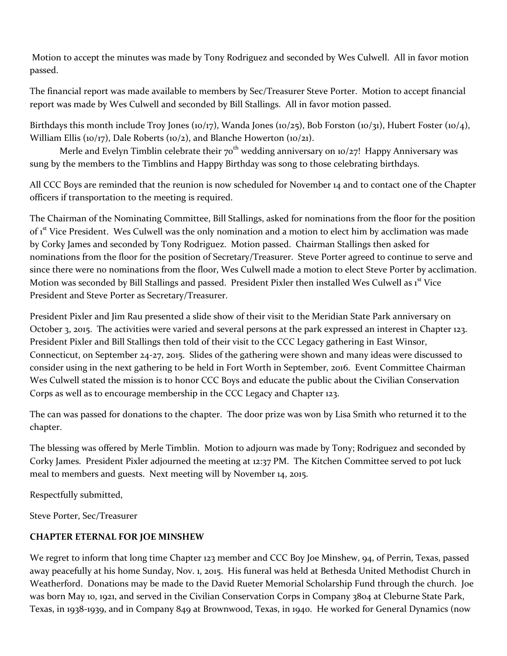Motion to accept the minutes was made by Tony Rodriguez and seconded by Wes Culwell. All in favor motion passed.

The financial report was made available to members by Sec/Treasurer Steve Porter. Motion to accept financial report was made by Wes Culwell and seconded by Bill Stallings. All in favor motion passed.

Birthdays this month include Troy Jones (10/17), Wanda Jones (10/25), Bob Forston (10/31), Hubert Foster (10/4), William Ellis (10/17), Dale Roberts (10/2), and Blanche Howerton (10/21).

Merle and Evelyn Timblin celebrate their  $70<sup>th</sup>$  wedding anniversary on  $10/27!$  Happy Anniversary was sung by the members to the Timblins and Happy Birthday was song to those celebrating birthdays.

All CCC Boys are reminded that the reunion is now scheduled for November 14 and to contact one of the Chapter officers if transportation to the meeting is required.

The Chairman of the Nominating Committee, Bill Stallings, asked for nominations from the floor for the position of 1<sup>st</sup> Vice President. Wes Culwell was the only nomination and a motion to elect him by acclimation was made by Corky James and seconded by Tony Rodriguez. Motion passed. Chairman Stallings then asked for nominations from the floor for the position of Secretary/Treasurer. Steve Porter agreed to continue to serve and since there were no nominations from the floor, Wes Culwell made a motion to elect Steve Porter by acclimation. Motion was seconded by Bill Stallings and passed. President Pixler then installed Wes Culwell as 1<sup>st</sup> Vice President and Steve Porter as Secretary/Treasurer.

President Pixler and Jim Rau presented a slide show of their visit to the Meridian State Park anniversary on October 3, 2015. The activities were varied and several persons at the park expressed an interest in Chapter 123. President Pixler and Bill Stallings then told of their visit to the CCC Legacy gathering in East Winsor, Connecticut, on September 24-27, 2015. Slides of the gathering were shown and many ideas were discussed to consider using in the next gathering to be held in Fort Worth in September, 2016. Event Committee Chairman Wes Culwell stated the mission is to honor CCC Boys and educate the public about the Civilian Conservation Corps as well as to encourage membership in the CCC Legacy and Chapter 123.

The can was passed for donations to the chapter. The door prize was won by Lisa Smith who returned it to the chapter.

The blessing was offered by Merle Timblin. Motion to adjourn was made by Tony; Rodriguez and seconded by Corky James. President Pixler adjourned the meeting at 12:37 PM. The Kitchen Committee served to pot luck meal to members and guests. Next meeting will by November 14, 2015.

Respectfully submitted,

Steve Porter, Sec/Treasurer

# **CHAPTER ETERNAL FOR JOE MINSHEW**

We regret to inform that long time Chapter 123 member and CCC Boy Joe Minshew, 94, of Perrin, Texas, passed away peacefully at his home Sunday, Nov. 1, 2015. His funeral was held at Bethesda United Methodist Church in Weatherford. Donations may be made to the David Rueter Memorial Scholarship Fund through the church. Joe was born May 10, 1921, and served in the Civilian Conservation Corps in Company 3804 at Cleburne State Park, Texas, in 1938-1939, and in Company 849 at Brownwood, Texas, in 1940. He worked for General Dynamics (now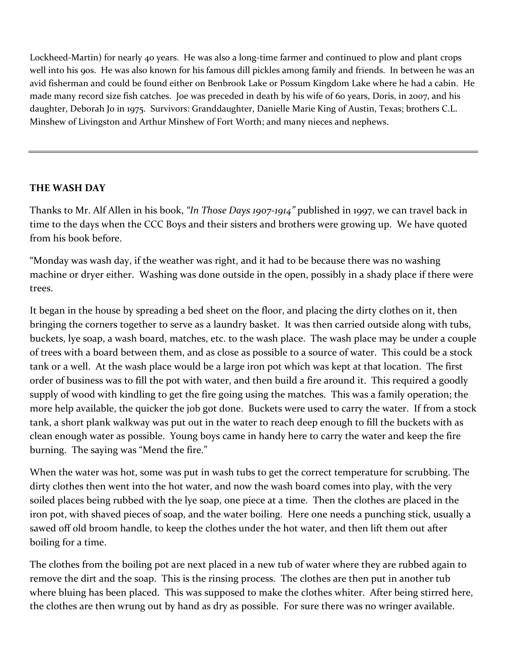Lockheed-Martin) for nearly 40 years. He was also a long-time farmer and continued to plow and plant crops well into his 90s. He was also known for his famous dill pickles among family and friends. In between he was an avid fisherman and could be found either on Benbrook Lake or Possum Kingdom Lake where he had a cabin. He made many record size fish catches. Joe was preceded in death by his wife of 60 years, Doris, in 2007, and his daughter, Deborah Jo in 1975. Survivors: Granddaughter, Danielle Marie King of Austin, Texas; brothers C.L. Minshew of Livingston and Arthur Minshew of Fort Worth; and many nieces and nephews.

# **THE WASH DAY**

Thanks to Mr. Alf Allen in his book, *"In Those Days 1907-1914"* published in 1997, we can travel back in time to the days when the CCC Boys and their sisters and brothers were growing up. We have quoted from his book before.

"Monday was wash day, if the weather was right, and it had to be because there was no washing machine or dryer either. Washing was done outside in the open, possibly in a shady place if there were trees.

It began in the house by spreading a bed sheet on the floor, and placing the dirty clothes on it, then bringing the corners together to serve as a laundry basket. It was then carried outside along with tubs, buckets, lye soap, a wash board, matches, etc. to the wash place. The wash place may be under a couple of trees with a board between them, and as close as possible to a source of water. This could be a stock tank or a well. At the wash place would be a large iron pot which was kept at that location. The first order of business was to fill the pot with water, and then build a fire around it. This required a goodly supply of wood with kindling to get the fire going using the matches. This was a family operation; the more help available, the quicker the job got done. Buckets were used to carry the water. If from a stock tank, a short plank walkway was put out in the water to reach deep enough to fill the buckets with as clean enough water as possible. Young boys came in handy here to carry the water and keep the fire burning. The saying was "Mend the fire."

When the water was hot, some was put in wash tubs to get the correct temperature for scrubbing. The dirty clothes then went into the hot water, and now the wash board comes into play, with the very soiled places being rubbed with the lye soap, one piece at a time. Then the clothes are placed in the iron pot, with shaved pieces of soap, and the water boiling. Here one needs a punching stick, usually a sawed off old broom handle, to keep the clothes under the hot water, and then lift them out after boiling for a time.

The clothes from the boiling pot are next placed in a new tub of water where they are rubbed again to remove the dirt and the soap. This is the rinsing process. The clothes are then put in another tub where bluing has been placed. This was supposed to make the clothes whiter. After being stirred here, the clothes are then wrung out by hand as dry as possible. For sure there was no wringer available.